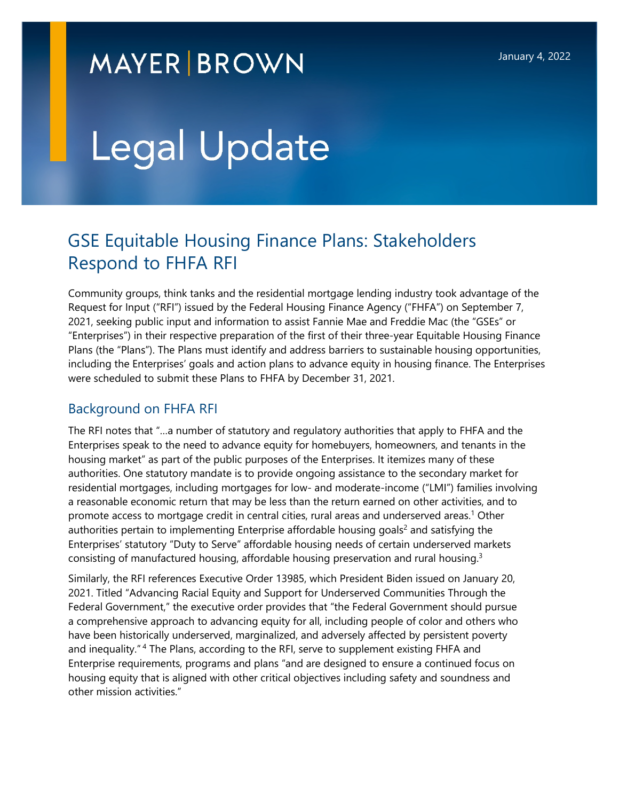# **MAYER BROWN**

# Legal Update

# GSE Equitable Housing Finance Plans: Stakeholders Respond to FHFA RFI

Community groups, think tanks and the residential mortgage lending industry took advantage of the Request for Input ("RFI") issued by the Federal Housing Finance Agency ("FHFA") on September 7, 2021, seeking public input and information to assist Fannie Mae and Freddie Mac (the "GSEs" or "Enterprises") in their respective preparation of the first of their three-year Equitable Housing Finance Plans (the "Plans"). The Plans must identify and address barriers to sustainable housing opportunities, including the Enterprises' goals and action plans to advance equity in housing finance. The Enterprises were scheduled to submit these Plans to FHFA by December 31, 2021.

# Background on FHFA RFI

The RFI notes that "…a number of statutory and regulatory authorities that apply to FHFA and the Enterprises speak to the need to advance equity for homebuyers, homeowners, and tenants in the housing market" as part of the public purposes of the Enterprises. It itemizes many of these authorities. One statutory mandate is to provide ongoing assistance to the secondary market for residential mortgages, including mortgages for low- and moderate-income ("LMI") families involving a reasonable economic return that may be less than the return earned on other activities, and to promote access to mortgage credit in central cities, rural areas and underserved areas.<sup>[1](#page-9-0)</sup> Other authorities pertain to implementing Enterprise affordable housing goals<sup>[2](#page-9-1)</sup> and satisfying the Enterprises' statutory "Duty to Serve" affordable housing needs of certain underserved markets consisting of manufactured housing, affordable housing preservation and rural housing.<sup>[3](#page-9-2)</sup>

Similarly, the RFI references Executive Order 13985, which President Biden issued on January 20, 2021. Titled "Advancing Racial Equity and Support for Underserved Communities Through the Federal Government," the executive order provides that "the Federal Government should pursue a comprehensive approach to advancing equity for all, including people of color and others who have been historically underserved, marginalized, and adversely affected by persistent poverty and inequality."<sup>4</sup> The Plans, according to the RFI, serve to supplement existing FHFA and Enterprise requirements, programs and plans "and are designed to ensure a continued focus on housing equity that is aligned with other critical objectives including safety and soundness and other mission activities."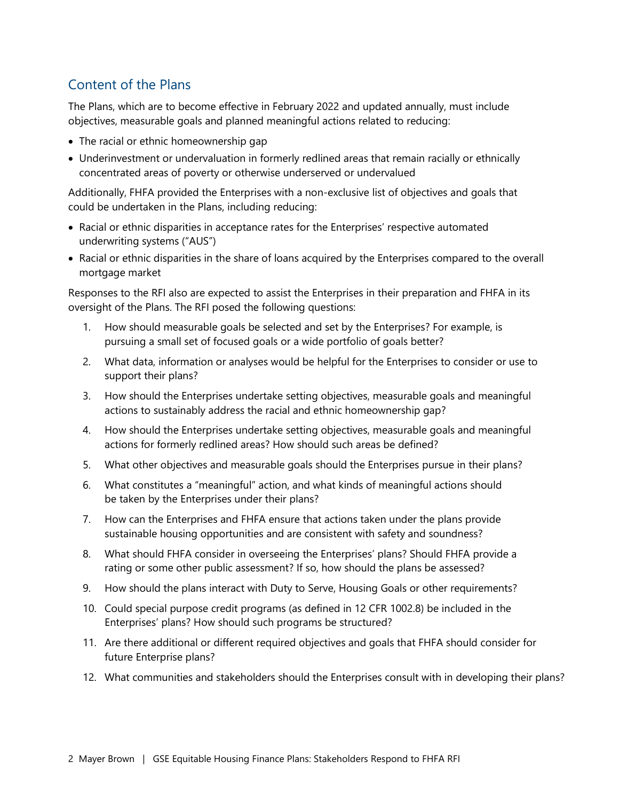# Content of the Plans

The Plans, which are to become effective in February 2022 and updated annually, must include objectives, measurable goals and planned meaningful actions related to reducing:

- The racial or ethnic homeownership gap
- Underinvestment or undervaluation in formerly redlined areas that remain racially or ethnically concentrated areas of poverty or otherwise underserved or undervalued

Additionally, FHFA provided the Enterprises with a non-exclusive list of objectives and goals that could be undertaken in the Plans, including reducing:

- Racial or ethnic disparities in acceptance rates for the Enterprises' respective automated underwriting systems ("AUS")
- Racial or ethnic disparities in the share of loans acquired by the Enterprises compared to the overall mortgage market

Responses to the RFI also are expected to assist the Enterprises in their preparation and FHFA in its oversight of the Plans. The RFI posed the following questions:

- 1. How should measurable goals be selected and set by the Enterprises? For example, is pursuing a small set of focused goals or a wide portfolio of goals better?
- 2. What data, information or analyses would be helpful for the Enterprises to consider or use to support their plans?
- 3. How should the Enterprises undertake setting objectives, measurable goals and meaningful actions to sustainably address the racial and ethnic homeownership gap?
- 4. How should the Enterprises undertake setting objectives, measurable goals and meaningful actions for formerly redlined areas? How should such areas be defined?
- 5. What other objectives and measurable goals should the Enterprises pursue in their plans?
- 6. What constitutes a "meaningful" action, and what kinds of meaningful actions should be taken by the Enterprises under their plans?
- 7. How can the Enterprises and FHFA ensure that actions taken under the plans provide sustainable housing opportunities and are consistent with safety and soundness?
- 8. What should FHFA consider in overseeing the Enterprises' plans? Should FHFA provide a rating or some other public assessment? If so, how should the plans be assessed?
- 9. How should the plans interact with Duty to Serve, Housing Goals or other requirements?
- 10. Could special purpose credit programs (as defined in 12 CFR 1002.8) be included in the Enterprises' plans? How should such programs be structured?
- 11. Are there additional or different required objectives and goals that FHFA should consider for future Enterprise plans?
- 12. What communities and stakeholders should the Enterprises consult with in developing their plans?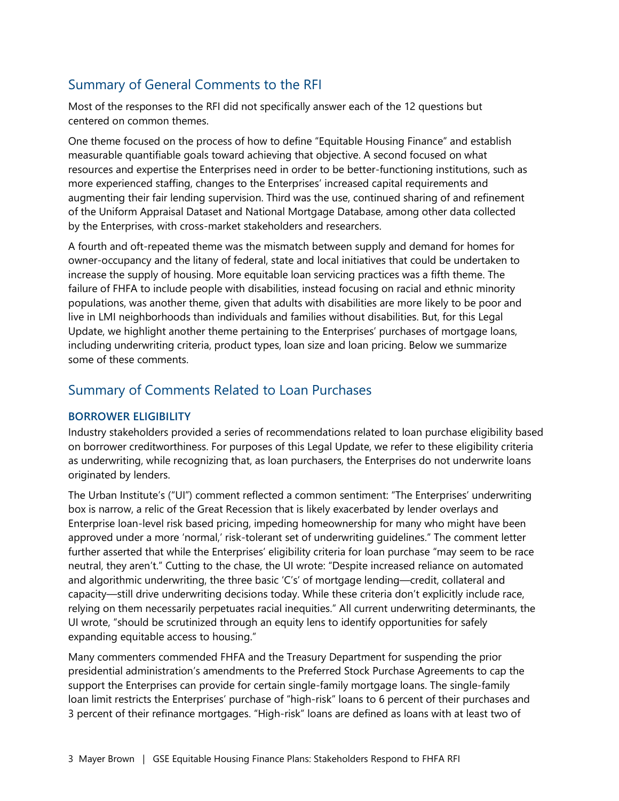# Summary of General Comments to the RFI

Most of the responses to the RFI did not specifically answer each of the 12 questions but centered on common themes.

One theme focused on the process of how to define "Equitable Housing Finance" and establish measurable quantifiable goals toward achieving that objective. A second focused on what resources and expertise the Enterprises need in order to be better-functioning institutions, such as more experienced staffing, changes to the Enterprises' increased capital requirements and augmenting their fair lending supervision. Third was the use, continued sharing of and refinement of the Uniform Appraisal Dataset and National Mortgage Database, among other data collected by the Enterprises, with cross-market stakeholders and researchers.

A fourth and oft-repeated theme was the mismatch between supply and demand for homes for owner-occupancy and the litany of federal, state and local initiatives that could be undertaken to increase the supply of housing. More equitable loan servicing practices was a fifth theme. The failure of FHFA to include people with disabilities, instead focusing on racial and ethnic minority populations, was another theme, given that adults with disabilities are more likely to be poor and live in LMI neighborhoods than individuals and families without disabilities. But, for this Legal Update, we highlight another theme pertaining to the Enterprises' purchases of mortgage loans, including underwriting criteria, product types, loan size and loan pricing. Below we summarize some of these comments.

## Summary of Comments Related to Loan Purchases

#### **BORROWER ELIGIBILITY**

Industry stakeholders provided a series of recommendations related to loan purchase eligibility based on borrower creditworthiness. For purposes of this Legal Update, we refer to these eligibility criteria as underwriting, while recognizing that, as loan purchasers, the Enterprises do not underwrite loans originated by lenders.

The Urban Institute's ("UI") comment reflected a common sentiment: "The Enterprises' underwriting box is narrow, a relic of the Great Recession that is likely exacerbated by lender overlays and Enterprise loan-level risk based pricing, impeding homeownership for many who might have been approved under a more 'normal,' risk-tolerant set of underwriting guidelines." The comment letter further asserted that while the Enterprises' eligibility criteria for loan purchase "may seem to be race neutral, they aren't." Cutting to the chase, the UI wrote: "Despite increased reliance on automated and algorithmic underwriting, the three basic 'C's' of mortgage lending—credit, collateral and capacity—still drive underwriting decisions today. While these criteria don't explicitly include race, relying on them necessarily perpetuates racial inequities." All current underwriting determinants, the UI wrote, "should be scrutinized through an equity lens to identify opportunities for safely expanding equitable access to housing."

Many commenters commended FHFA and the Treasury Department for suspending the prior presidential administration's amendments to the Preferred Stock Purchase Agreements to cap the support the Enterprises can provide for certain single-family mortgage loans. The single-family loan limit restricts the Enterprises' purchase of "high-risk" loans to 6 percent of their purchases and 3 percent of their refinance mortgages. "High-risk" loans are defined as loans with at least two of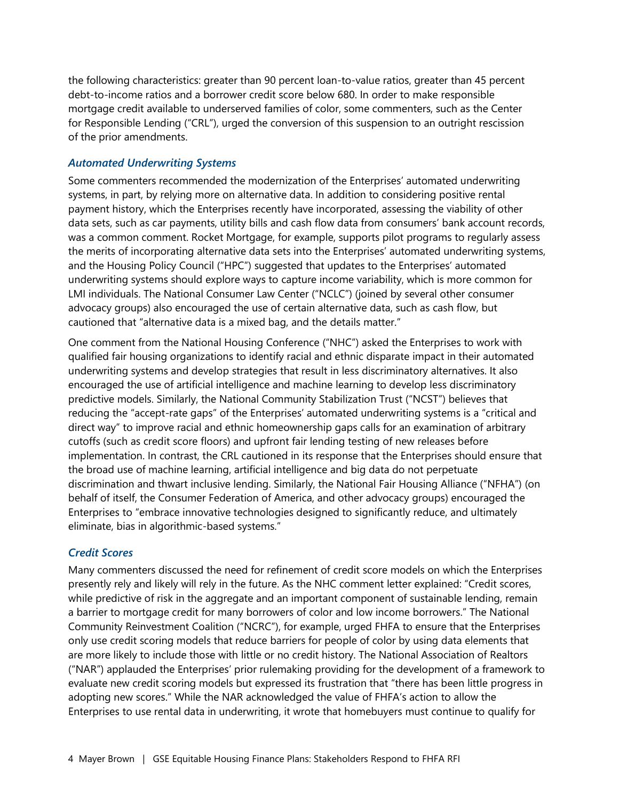the following characteristics: greater than 90 percent loan-to-value ratios, greater than 45 percent debt-to-income ratios and a borrower credit score below 680. In order to make responsible mortgage credit available to underserved families of color, some commenters, such as the Center for Responsible Lending ("CRL"), urged the conversion of this suspension to an outright rescission of the prior amendments.

#### *Automated Underwriting Systems*

Some commenters recommended the modernization of the Enterprises' automated underwriting systems, in part, by relying more on alternative data. In addition to considering positive rental payment history, which the Enterprises recently have incorporated, assessing the viability of other data sets, such as car payments, utility bills and cash flow data from consumers' bank account records, was a common comment. Rocket Mortgage, for example, supports pilot programs to regularly assess the merits of incorporating alternative data sets into the Enterprises' automated underwriting systems, and the Housing Policy Council ("HPC") suggested that updates to the Enterprises' automated underwriting systems should explore ways to capture income variability, which is more common for LMI individuals. The National Consumer Law Center ("NCLC") (joined by several other consumer advocacy groups) also encouraged the use of certain alternative data, such as cash flow, but cautioned that "alternative data is a mixed bag, and the details matter."

One comment from the National Housing Conference ("NHC") asked the Enterprises to work with qualified fair housing organizations to identify racial and ethnic disparate impact in their automated underwriting systems and develop strategies that result in less discriminatory alternatives. It also encouraged the use of artificial intelligence and machine learning to develop less discriminatory predictive models. Similarly, the National Community Stabilization Trust ("NCST") believes that reducing the "accept-rate gaps" of the Enterprises' automated underwriting systems is a "critical and direct way" to improve racial and ethnic homeownership gaps calls for an examination of arbitrary cutoffs (such as credit score floors) and upfront fair lending testing of new releases before implementation. In contrast, the CRL cautioned in its response that the Enterprises should ensure that the broad use of machine learning, artificial intelligence and big data do not perpetuate discrimination and thwart inclusive lending. Similarly, the National Fair Housing Alliance ("NFHA") (on behalf of itself, the Consumer Federation of America, and other advocacy groups) encouraged the Enterprises to "embrace innovative technologies designed to significantly reduce, and ultimately eliminate, bias in algorithmic-based systems."

#### *Credit Scores*

Many commenters discussed the need for refinement of credit score models on which the Enterprises presently rely and likely will rely in the future. As the NHC comment letter explained: "Credit scores, while predictive of risk in the aggregate and an important component of sustainable lending, remain a barrier to mortgage credit for many borrowers of color and low income borrowers." The National Community Reinvestment Coalition ("NCRC"), for example, urged FHFA to ensure that the Enterprises only use credit scoring models that reduce barriers for people of color by using data elements that are more likely to include those with little or no credit history. The National Association of Realtors ("NAR") applauded the Enterprises' prior rulemaking providing for the development of a framework to evaluate new credit scoring models but expressed its frustration that "there has been little progress in adopting new scores." While the NAR acknowledged the value of FHFA's action to allow the Enterprises to use rental data in underwriting, it wrote that homebuyers must continue to qualify for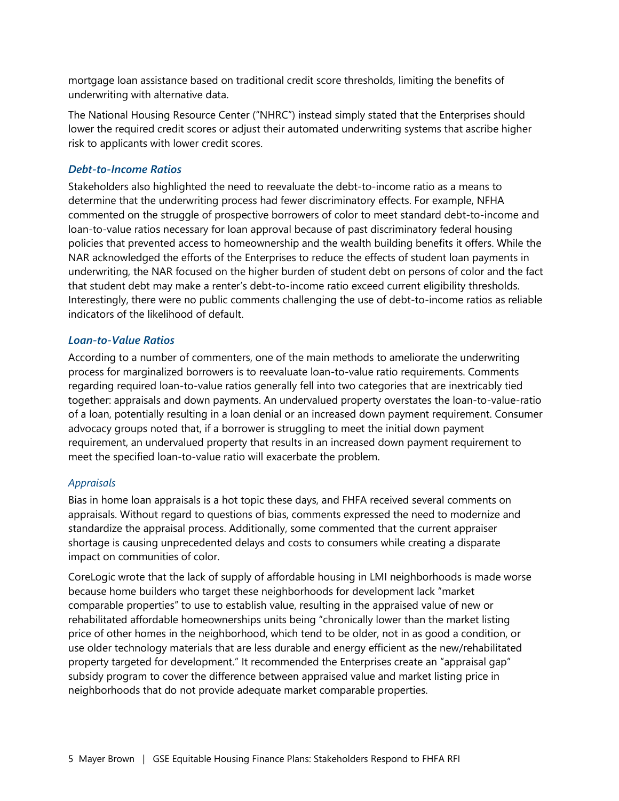mortgage loan assistance based on traditional credit score thresholds, limiting the benefits of underwriting with alternative data.

The National Housing Resource Center ("NHRC") instead simply stated that the Enterprises should lower the required credit scores or adjust their automated underwriting systems that ascribe higher risk to applicants with lower credit scores.

#### *Debt-to-Income Ratios*

Stakeholders also highlighted the need to reevaluate the debt-to-income ratio as a means to determine that the underwriting process had fewer discriminatory effects. For example, NFHA commented on the struggle of prospective borrowers of color to meet standard debt-to-income and loan-to-value ratios necessary for loan approval because of past discriminatory federal housing policies that prevented access to homeownership and the wealth building benefits it offers. While the NAR acknowledged the efforts of the Enterprises to reduce the effects of student loan payments in underwriting, the NAR focused on the higher burden of student debt on persons of color and the fact that student debt may make a renter's debt-to-income ratio exceed current eligibility thresholds. Interestingly, there were no public comments challenging the use of debt-to-income ratios as reliable indicators of the likelihood of default.

#### *Loan-to-Value Ratios*

According to a number of commenters, one of the main methods to ameliorate the underwriting process for marginalized borrowers is to reevaluate loan-to-value ratio requirements. Comments regarding required loan-to-value ratios generally fell into two categories that are inextricably tied together: appraisals and down payments. An undervalued property overstates the loan-to-value-ratio of a loan, potentially resulting in a loan denial or an increased down payment requirement. Consumer advocacy groups noted that, if a borrower is struggling to meet the initial down payment requirement, an undervalued property that results in an increased down payment requirement to meet the specified loan-to-value ratio will exacerbate the problem.

#### *Appraisals*

Bias in home loan appraisals is a hot topic these days, and FHFA received several comments on appraisals. Without regard to questions of bias, comments expressed the need to modernize and standardize the appraisal process. Additionally, some commented that the current appraiser shortage is causing unprecedented delays and costs to consumers while creating a disparate impact on communities of color.

CoreLogic wrote that the lack of supply of affordable housing in LMI neighborhoods is made worse because home builders who target these neighborhoods for development lack "market comparable properties" to use to establish value, resulting in the appraised value of new or rehabilitated affordable homeownerships units being "chronically lower than the market listing price of other homes in the neighborhood, which tend to be older, not in as good a condition, or use older technology materials that are less durable and energy efficient as the new/rehabilitated property targeted for development." It recommended the Enterprises create an "appraisal gap" subsidy program to cover the difference between appraised value and market listing price in neighborhoods that do not provide adequate market comparable properties.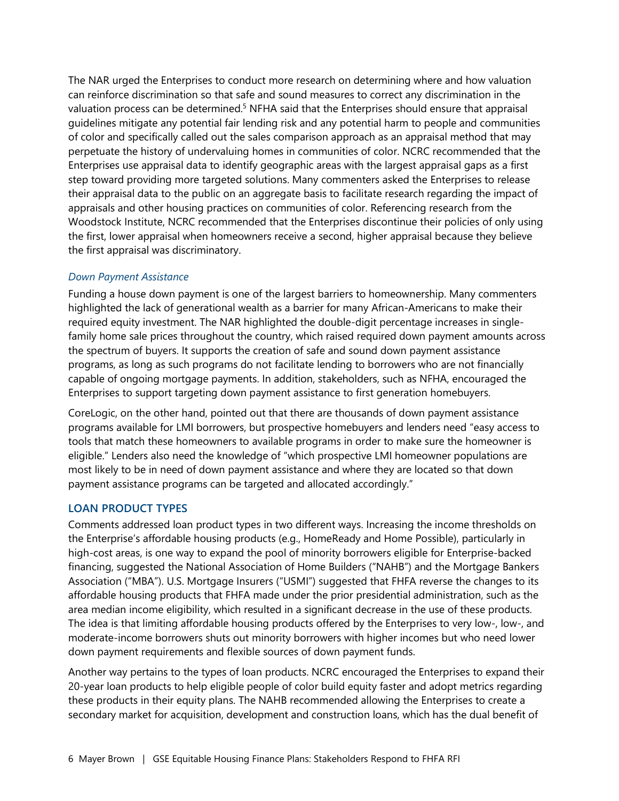The NAR urged the Enterprises to conduct more research on determining where and how valuation can reinforce discrimination so that safe and sound measures to correct any discrimination in the valuation process can be determined.<sup>[5](#page-9-4)</sup> NFHA said that the Enterprises should ensure that appraisal guidelines mitigate any potential fair lending risk and any potential harm to people and communities of color and specifically called out the sales comparison approach as an appraisal method that may perpetuate the history of undervaluing homes in communities of color. NCRC recommended that the Enterprises use appraisal data to identify geographic areas with the largest appraisal gaps as a first step toward providing more targeted solutions. Many commenters asked the Enterprises to release their appraisal data to the public on an aggregate basis to facilitate research regarding the impact of appraisals and other housing practices on communities of color. Referencing research from the Woodstock Institute, NCRC recommended that the Enterprises discontinue their policies of only using the first, lower appraisal when homeowners receive a second, higher appraisal because they believe the first appraisal was discriminatory.

#### *Down Payment Assistance*

Funding a house down payment is one of the largest barriers to homeownership. Many commenters highlighted the lack of generational wealth as a barrier for many African-Americans to make their required equity investment. The NAR highlighted the double-digit percentage increases in singlefamily home sale prices throughout the country, which raised required down payment amounts across the spectrum of buyers. It supports the creation of safe and sound down payment assistance programs, as long as such programs do not facilitate lending to borrowers who are not financially capable of ongoing mortgage payments. In addition, stakeholders, such as NFHA, encouraged the Enterprises to support targeting down payment assistance to first generation homebuyers.

CoreLogic, on the other hand, pointed out that there are thousands of down payment assistance programs available for LMI borrowers, but prospective homebuyers and lenders need "easy access to tools that match these homeowners to available programs in order to make sure the homeowner is eligible." Lenders also need the knowledge of "which prospective LMI homeowner populations are most likely to be in need of down payment assistance and where they are located so that down payment assistance programs can be targeted and allocated accordingly."

#### **LOAN PRODUCT TYPES**

Comments addressed loan product types in two different ways. Increasing the income thresholds on the Enterprise's affordable housing products (e.g., HomeReady and Home Possible), particularly in high-cost areas, is one way to expand the pool of minority borrowers eligible for Enterprise-backed financing, suggested the National Association of Home Builders ("NAHB") and the Mortgage Bankers Association ("MBA"). U.S. Mortgage Insurers ("USMI") suggested that FHFA reverse the changes to its affordable housing products that FHFA made under the prior presidential administration, such as the area median income eligibility, which resulted in a significant decrease in the use of these products. The idea is that limiting affordable housing products offered by the Enterprises to very low-, low-, and moderate-income borrowers shuts out minority borrowers with higher incomes but who need lower down payment requirements and flexible sources of down payment funds.

Another way pertains to the types of loan products. NCRC encouraged the Enterprises to expand their 20-year loan products to help eligible people of color build equity faster and adopt metrics regarding these products in their equity plans. The NAHB recommended allowing the Enterprises to create a secondary market for acquisition, development and construction loans, which has the dual benefit of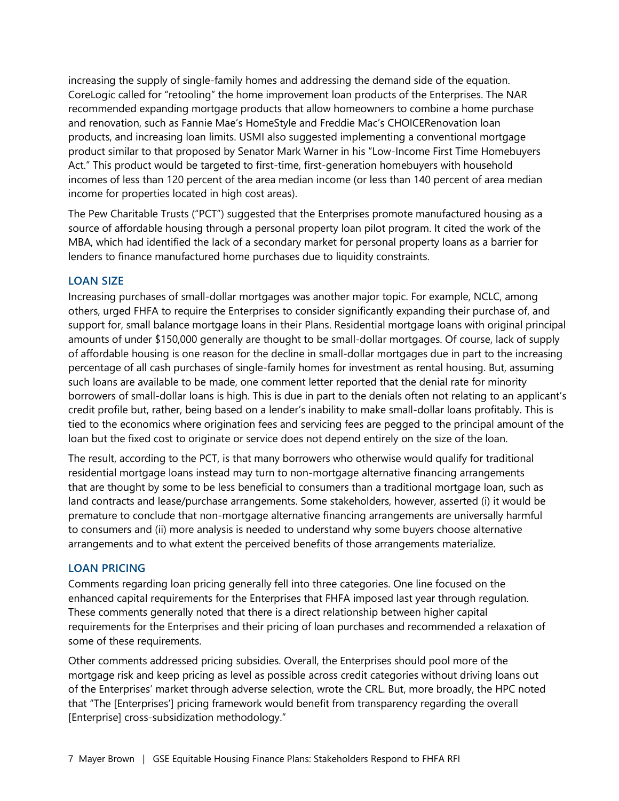increasing the supply of single-family homes and addressing the demand side of the equation. CoreLogic called for "retooling" the home improvement loan products of the Enterprises. The NAR recommended expanding mortgage products that allow homeowners to combine a home purchase and renovation, such as Fannie Mae's HomeStyle and Freddie Mac's CHOICERenovation loan products, and increasing loan limits. USMI also suggested implementing a conventional mortgage product similar to that proposed by Senator Mark Warner in his "Low-Income First Time Homebuyers Act." This product would be targeted to first-time, first-generation homebuyers with household incomes of less than 120 percent of the area median income (or less than 140 percent of area median income for properties located in high cost areas).

The Pew Charitable Trusts ("PCT") suggested that the Enterprises promote manufactured housing as a source of affordable housing through a personal property loan pilot program. It cited the work of the MBA, which had identified the lack of a secondary market for personal property loans as a barrier for lenders to finance manufactured home purchases due to liquidity constraints.

#### **LOAN SIZE**

Increasing purchases of small-dollar mortgages was another major topic. For example, NCLC, among others, urged FHFA to require the Enterprises to consider significantly expanding their purchase of, and support for, small balance mortgage loans in their Plans. Residential mortgage loans with original principal amounts of under \$150,000 generally are thought to be small-dollar mortgages. Of course, lack of supply of affordable housing is one reason for the decline in small-dollar mortgages due in part to the increasing percentage of all cash purchases of single-family homes for investment as rental housing. But, assuming such loans are available to be made, one comment letter reported that the denial rate for minority borrowers of small-dollar loans is high. This is due in part to the denials often not relating to an applicant's credit profile but, rather, being based on a lender's inability to make small-dollar loans profitably. This is tied to the economics where origination fees and servicing fees are pegged to the principal amount of the loan but the fixed cost to originate or service does not depend entirely on the size of the loan.

The result, according to the PCT, is that many borrowers who otherwise would qualify for traditional residential mortgage loans instead may turn to non-mortgage alternative financing arrangements that are thought by some to be less beneficial to consumers than a traditional mortgage loan, such as land contracts and lease/purchase arrangements. Some stakeholders, however, asserted (i) it would be premature to conclude that non-mortgage alternative financing arrangements are universally harmful to consumers and (ii) more analysis is needed to understand why some buyers choose alternative arrangements and to what extent the perceived benefits of those arrangements materialize.

#### **LOAN PRICING**

Comments regarding loan pricing generally fell into three categories. One line focused on the enhanced capital requirements for the Enterprises that FHFA imposed last year through regulation. These comments generally noted that there is a direct relationship between higher capital requirements for the Enterprises and their pricing of loan purchases and recommended a relaxation of some of these requirements.

Other comments addressed pricing subsidies. Overall, the Enterprises should pool more of the mortgage risk and keep pricing as level as possible across credit categories without driving loans out of the Enterprises' market through adverse selection, wrote the CRL. But, more broadly, the HPC noted that "The [Enterprises'] pricing framework would benefit from transparency regarding the overall [Enterprise] cross-subsidization methodology."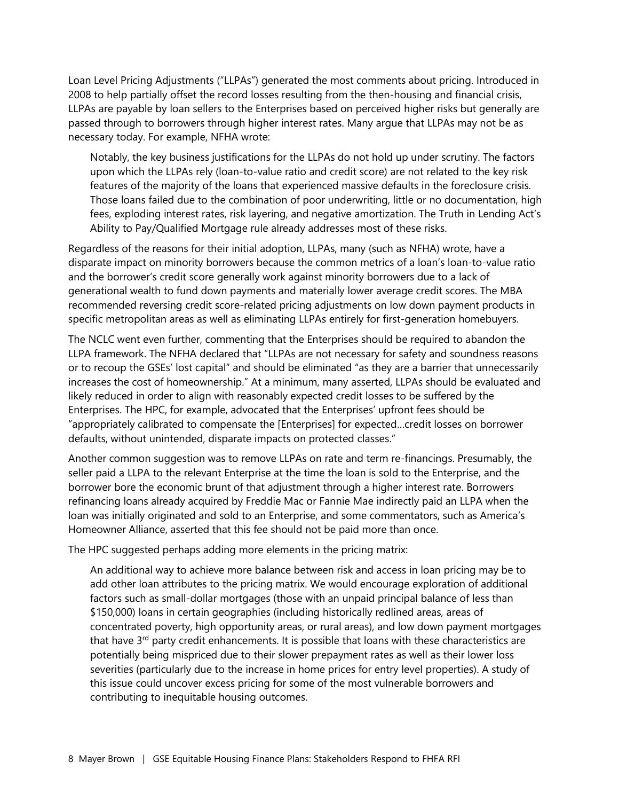Loan Level Pricing Adjustments ("LLPAs") generated the most comments about pricing. Introduced in 2008 to help partially offset the record losses resulting from the then-housing and financial crisis, LLPAs are payable by loan sellers to the Enterprises based on perceived higher risks but generally are passed through to borrowers through higher interest rates. Many argue that LLPAs may not be as necessary today. For example, NFHA wrote:

Notably, the key business justifications for the LLPAs do not hold up under scrutiny. The factors upon which the LLPAs rely (loan-to-value ratio and credit score) are not related to the key risk features of the majority of the loans that experienced massive defaults in the foreclosure crisis. Those loans failed due to the combination of poor underwriting, little or no documentation, high fees, exploding interest rates, risk layering, and negative amortization. The Truth in Lending Act's Ability to Pay/Qualified Mortgage rule already addresses most of these risks.

Regardless of the reasons for their initial adoption, LLPAs, many (such as NFHA) wrote, have a disparate impact on minority borrowers because the common metrics of a loan's loan-to-value ratio and the borrower's credit score generally work against minority borrowers due to a lack of generational wealth to fund down payments and materially lower average credit scores. The MBA recommended reversing credit score-related pricing adjustments on low down payment products in specific metropolitan areas as well as eliminating LLPAs entirely for first-generation homebuyers.

The NCLC went even further, commenting that the Enterprises should be required to abandon the LLPA framework. The NFHA declared that "LLPAs are not necessary for safety and soundness reasons or to recoup the GSEs' lost capital" and should be eliminated "as they are a barrier that unnecessarily increases the cost of homeownership." At a minimum, many asserted, LLPAs should be evaluated and likely reduced in order to align with reasonably expected credit losses to be suffered by the Enterprises. The HPC, for example, advocated that the Enterprises' upfront fees should be "appropriately calibrated to compensate the [Enterprises] for expected…credit losses on borrower defaults, without unintended, disparate impacts on protected classes."

Another common suggestion was to remove LLPAs on rate and term re-financings. Presumably, the seller paid a LLPA to the relevant Enterprise at the time the loan is sold to the Enterprise, and the borrower bore the economic brunt of that adjustment through a higher interest rate. Borrowers refinancing loans already acquired by Freddie Mac or Fannie Mae indirectly paid an LLPA when the loan was initially originated and sold to an Enterprise, and some commentators, such as America's Homeowner Alliance, asserted that this fee should not be paid more than once.

The HPC suggested perhaps adding more elements in the pricing matrix:

An additional way to achieve more balance between risk and access in loan pricing may be to add other loan attributes to the pricing matrix. We would encourage exploration of additional factors such as small-dollar mortgages (those with an unpaid principal balance of less than \$150,000) loans in certain geographies (including historically redlined areas, areas of concentrated poverty, high opportunity areas, or rural areas), and low down payment mortgages that have 3<sup>rd</sup> party credit enhancements. It is possible that loans with these characteristics are potentially being mispriced due to their slower prepayment rates as well as their lower loss severities (particularly due to the increase in home prices for entry level properties). A study of this issue could uncover excess pricing for some of the most vulnerable borrowers and contributing to inequitable housing outcomes.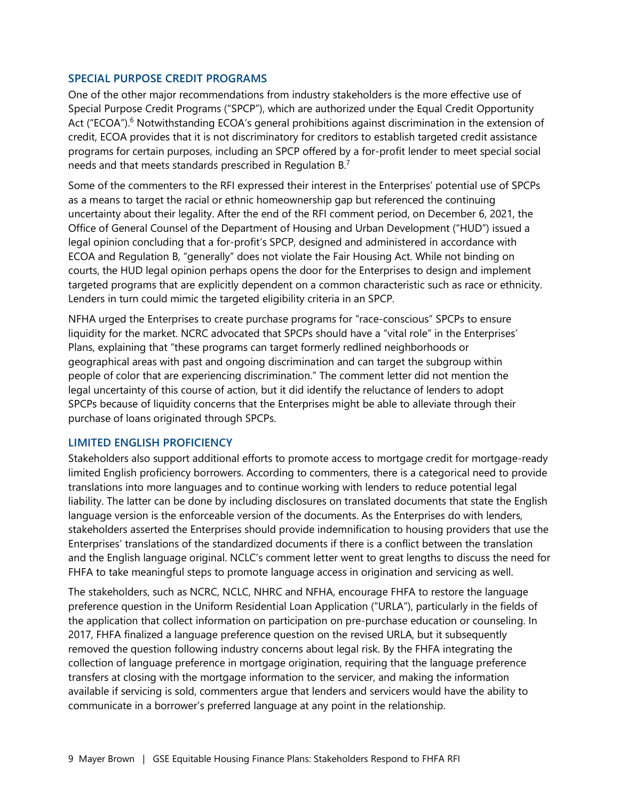#### **SPECIAL PURPOSE CREDIT PROGRAMS**

One of the other major recommendations from industry stakeholders is the more effective use of Special Purpose Credit Programs ("SPCP"), which are authorized under the Equal Credit Opportunity Act ("ECOA").<sup>[6](#page-9-5)</sup> Notwithstanding ECOA's general prohibitions against discrimination in the extension of credit, ECOA provides that it is not discriminatory for creditors to establish targeted credit assistance programs for certain purposes, including an SPCP offered by a for-profit lender to meet special social needs and that meets standards prescribed in Regulation B.[7](#page-9-6)

Some of the commenters to the RFI expressed their interest in the Enterprises' potential use of SPCPs as a means to target the racial or ethnic homeownership gap but referenced the continuing uncertainty about their legality. After the end of the RFI comment period, on December 6, 2021, the Office of General Counsel of the Department of Housing and Urban Development ("HUD") issued a legal opinion concluding that a for-profit's SPCP, designed and administered in accordance with ECOA and Regulation B, "generally" does not violate the Fair Housing Act. While not binding on courts, the HUD legal opinion perhaps opens the door for the Enterprises to design and implement targeted programs that are explicitly dependent on a common characteristic such as race or ethnicity. Lenders in turn could mimic the targeted eligibility criteria in an SPCP.

NFHA urged the Enterprises to create purchase programs for "race-conscious" SPCPs to ensure liquidity for the market. NCRC advocated that SPCPs should have a "vital role" in the Enterprises' Plans, explaining that "these programs can target formerly redlined neighborhoods or geographical areas with past and ongoing discrimination and can target the subgroup within people of color that are experiencing discrimination." The comment letter did not mention the legal uncertainty of this course of action, but it did identify the reluctance of lenders to adopt SPCPs because of liquidity concerns that the Enterprises might be able to alleviate through their purchase of loans originated through SPCPs.

#### **LIMITED ENGLISH PROFICIENCY**

Stakeholders also support additional efforts to promote access to mortgage credit for mortgage-ready limited English proficiency borrowers. According to commenters, there is a categorical need to provide translations into more languages and to continue working with lenders to reduce potential legal liability. The latter can be done by including disclosures on translated documents that state the English language version is the enforceable version of the documents. As the Enterprises do with lenders, stakeholders asserted the Enterprises should provide indemnification to housing providers that use the Enterprises' translations of the standardized documents if there is a conflict between the translation and the English language original. NCLC's comment letter went to great lengths to discuss the need for FHFA to take meaningful steps to promote language access in origination and servicing as well.

The stakeholders, such as NCRC, NCLC, NHRC and NFHA, encourage FHFA to restore the language preference question in the Uniform Residential Loan Application ("URLA"), particularly in the fields of the application that collect information on participation on pre-purchase education or counseling. In 2017, FHFA finalized a language preference question on the revised URLA, but it subsequently removed the question following industry concerns about legal risk. By the FHFA integrating the collection of language preference in mortgage origination, requiring that the language preference transfers at closing with the mortgage information to the servicer, and making the information available if servicing is sold, commenters argue that lenders and servicers would have the ability to communicate in a borrower's preferred language at any point in the relationship.